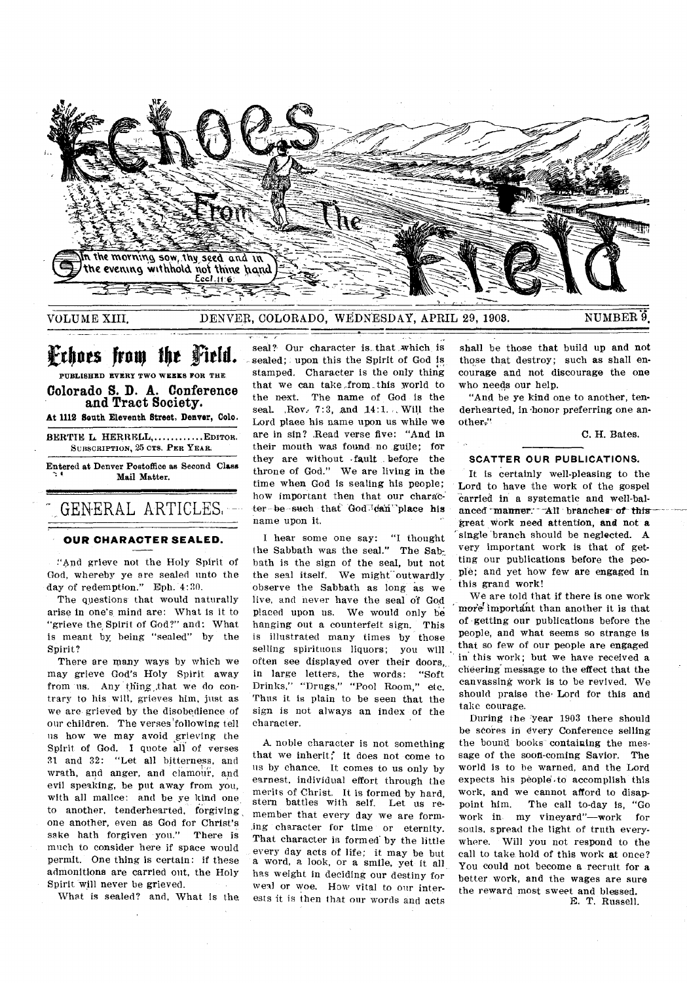

VOLUME XIII. DENVER, COLORADO, WEDNESDAY, APRIL 29, 1908. NUMBER 9.

# **F**rhoes from the Field.

**PUBLISHED EVERY TWO WEEKS FOR THE Colorado S. D. A. Conference and Tract Society.** 

At 1112 South Eleventh Street, Denver, Colo.

BERTIE L. HERRELL, ............. EDITOR. **SUBSCRIPTION,** 25 **CT& PER YEAR.** 

Entered at Denver Postoffice as Second Class Mail Matter.

#### **OUR CHARACTER SEALED.**

GENERAL ARTICLES.

:'4:nd grieve not the Holy Spirit of God, whereby ye are sealed unto the day of redemption." Eph. 4:30.

The questions that would naturally arise in one's mind are: What is it to "grieve the Spirit of God?" and: What is meant by, being "sealed" by the Spirit?

There are many ways by which we may grieve God's Holy Spirit away from us. Any thing that we do contrary to his will, grieves him, just as we are grieved by the disobedience of our children. The verses following tell us how we *may* avoid grieving the Spirit of God. I quote all of verses 31 and 32: "Let all bitterness, and wrath, and anger, and clamour, and evil speaking, be put away from you, with all malice: and be ye kind one to another, tenderhearted, forgiving one another, even as God for Christ's sake hath forgiven you." There is much to consider here if space would permit. One thing is certain: if these admonitions are carried out, the Holy Spirit will never be grieved.

What is sealed? and, What is the,

seal?- Our character is. that ,which is sealed; upon this the Spirit of God is stamped. Character is the only thing that we can take from this world to the next. The name of God is the seal. , Rev. 7:3, and 14:1... Will the Lord place his name upon us while *we*  are in sip? Read verse five: "And in their mouth was found no guile; for they are without fault before the throne of God." We are living in the time when God is sealing his people; how important then that our character be such that God.<sup>1</sup>dan place his name upon it.

I hear some one say: "I thought the Sabbath was the seal." The Sabbath is the sign of the seal, but not the seal itself. We might outwardly observe the Sabbath as long as we live, and never have the seal of God placed upon us. We would only be hanging out a counterfeit sign. This is illustrated many times by those selling spirituous liquors; you will often see displayed over their doors, in large letters, the words: "Soft Drinks," "Drugs," "Pool Room," etc. Thus it is plain to be seen that the sign is not always an index of the character.

A. noble character is not something that we inherit; it does not come to us by chance. It comes to us only by earnest, individual effort through the merits of Christ. It is formed by hard, stern battles with self. Let us remember that every day we are forming character for time or eternity. That character is formed by the little every day acts of life; it may be but a word, a look, or a smile, yet it all has weight in deciding our destiny for weal or woe. How vital to our interests it is then that our words and acts

shall be those that build up and not those that destroy; such as shall encourage and not discourage the one who needs our help.

"And be ye kind one to another, tenderhearted, in -honor preferring one another:"

C. H. Bates.

#### **SCATTER OUR PUBLICATIONS.**

It is certainly well-pleasing to the Lord to have the work of the gospel carried in a systematic and well-balanced manner. All branches of this work need attention, **and** not a single 'branch should be neglected. A very important work is that of getting our publications before the people; and yet how few are engaged in this grand work!

We are told that if there is one work more important than another it is that of getting our publications before the people, and what seems so strange is that so few of our people are engaged in' this work; but we have received a cheering message to the effect that the canvassing work is to be revived. We should praise the Lord for this and take courage.

During the year 1903 there should be scores in every Conference selling the bound books containing the message of the soon-coming Savior. The world is to be warned, and the Lord expects his people.to accomplish this work, and we cannot afford to disappoint him. The call to-day is, "Go work in my vineyard"—work for souls, spread the light of truth everywhere. Will you not respond to the call to take hold of this work at once? You could not become a recruit for a better work, and the wages are sure the reward most sweet and blessed. E. T. Russell.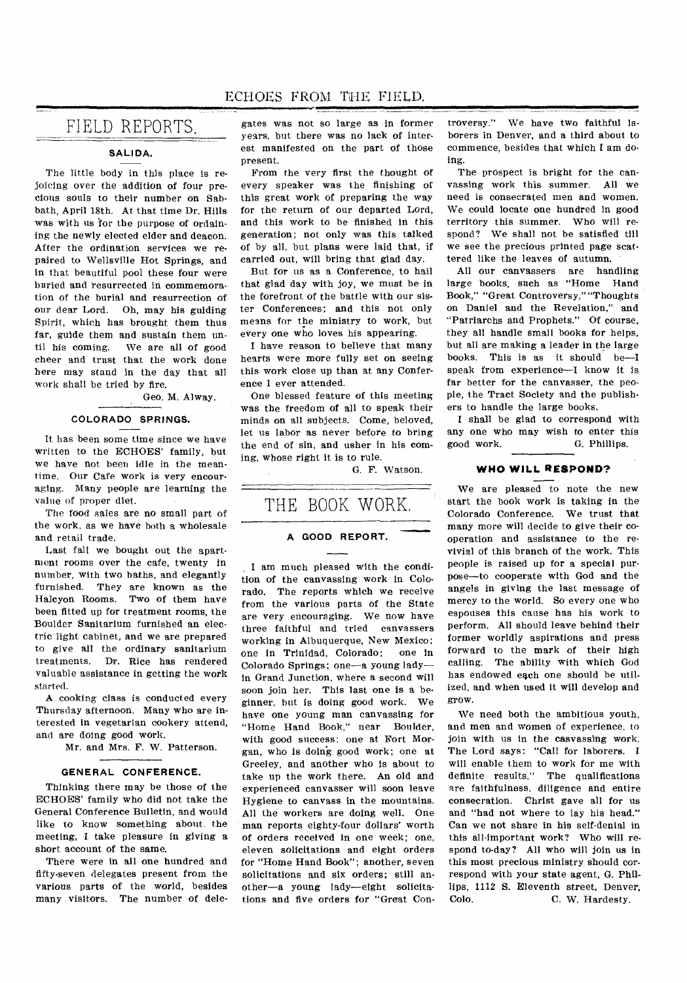# FIELD REPORTS.

#### **SALIDA.**

The little body in this place is rejoicing over the addition of four precious souls to their number on Sabbath, April 18th. At that time Dr. Hills was with us 'for the purpose of ordaining the newly elected elder and deacon. After the ordination services we repaired to Wellsville Hot Springs, and in that beautiful pool these four were buried and resurrected in commemoration of the burial and resurrection of our dear Lord. Oh, may his guiding Spirit, which has brought them thus far, guide them and sustain them until his coming. We are all of good cheer and trust that the work done here may stand in the day that all work shall be tried by fire.

Geo. M. Alway.

#### **COLORADO SPRINGS.**

It has been some time since we have written to the ECHOES' family, but we have not been idle in the meantime. Our Cafe work is very encouraging. Many people are learning the value of proper diet.

The food sales are no small part of the work, as we have both a wholesale and retail trade.

Last fall we bought out the apartment rooms over the cafe, twenty in number, with two baths, and elegantly furnished. They are known as the Halcyon Rooms. Two of them have been fitted up for treatment rooms, the Boulder Sanitarium furnished an electric light cabinet, and we are prepared to give all the ordinary sanitarium treatments. Dr. Rice has rendered valuable assistance in getting the work started.

A cooking class is conducted every Thursday afternoon. Many who are interested in vegetarian cookery attend, and are doing good work.

Mr. and Mrs. F. W. Patterson.

#### **GENERAL CONFERENCE.**

Thinking there may be those of the ECHOES' family who did not take the General Conference Bulletin, and would like to know something about the meeting, I take pleasure in *giving* a short account of the same.

There were in all one hundred and fifty-seven delegates present from the various parts of the world, besides many visitors. The number of delegates was not so large as in former years, but there was no lack of interest manifested on the part of those present.

From the very first the thought of every speaker was the finishing of this great work of preparing the way for the return of our departed Lord, and this work to be finished in this generation; not only was this talked of by all, but plans were laid that, if carried out, will bring that glad day.

But for us as a Conference, to hail that glad day with joy, we must be in the forefront of the battle with our sister Conferences; and this not only means for the ministry to work, but every one who loves his appearing.

I have reason to believe that many hearts were more fully set on seeing this work close up than at any Conference I ever attended.

One blessed feature of this meeting was the freedom of all to speak their minds on all subjects. Come, beloved, let us labor as never before to bring the end of sin, and usher in his coming, whose right it is to rule.

G. F. Watson.

# THE BOOK WORK,

### **A GOOD REPORT.**

. I am much pleased with the condition of the canvassing work in Colorado. The reports which we receive from the various parts of the State are very encouraging. We now have three faithful and tried canvassers working in Albuquerque, New Mexico;<br>one in Trinidad. Colorado: one in one in Trinidad, Colorado; Colorado Springs; one—a young lady in Grand Junction, where a second will soon join her. This last one is a beginner, but is doing good work. We have one young man canvassing for "Home Hand Book," near Boulder, with good success; one at Fort Morgan, who is doing good work; one at Greeley, and another who is about to take up the work there. An old and experienced canvasser will soon leave Hygiene to canvass in the mountains. All the workers are doing well. One man reports eighty-four dollars' worth of orders received in one week; one, eleven solicitations and eight orders for "Home Hand Book"; another, seven solicitations and six orders; still another—a young lady—eight solicitations and five orders for "Great Controversy." We have two faithful laborers in Denver, and a third about to commence, besides that which I am doing.

The prospect is bright for the canvassing work this summer. All we need is consecrated men and women. We could locate one hundred in good territory this summer. Who will respond? We shall not be satisfied till we *see* the precious printed page scattered like the leaves of autumn.

All our canvassers are handling large books, such as "Home Hand Book," "Great Controversy," "Thoughts on Daniel and the Revelation," and "Patriarchs and Prophets." Of course, they all handle small books for helps, but all are making a leader in the large books. This is as it should be—I speak from experience—I know it is far better for the canvasser, the people, the Tract Society and the publishers to handle the large books.

I shall be glad to correspond with any one who may wish to enter this good work. G. Phillips.

#### **WHO WILL RESPOND?**

We are pleased to note the new start the book work is taking in the Colorado Conference. We trust that many more will decide to give their cooperation and assistance to the revivial of this branch of the work. This people is raised up for a special purpose—to cooperate with God and the angels in giving the last message of mercy to the world. So every one who espouses this cause has his work to perform. All should leave behind their former worldly aspirations and press forward to the mark of their high calling. The ability with which God has endowed each one should be utilized, and when used it will develop and grow.

We need both the ambitious youth, and men and women of experience, to join with us in the casvassing work. The Lord says: "Call for laborers. I will enable them to work for me with definite results." The qualifications are faithfulness, diligence and entire consecration. Christ gave all for us and "had not where to lay his head." Can we not share in his self-denial in this all-important work? Who will respond to-day? All who will join us in this most precious ministry should correspond with your state agent, G. Phillips, 1112 S. Eleventh street, Denver, Colo. C. W. Hardesty. C. W. Hardesty.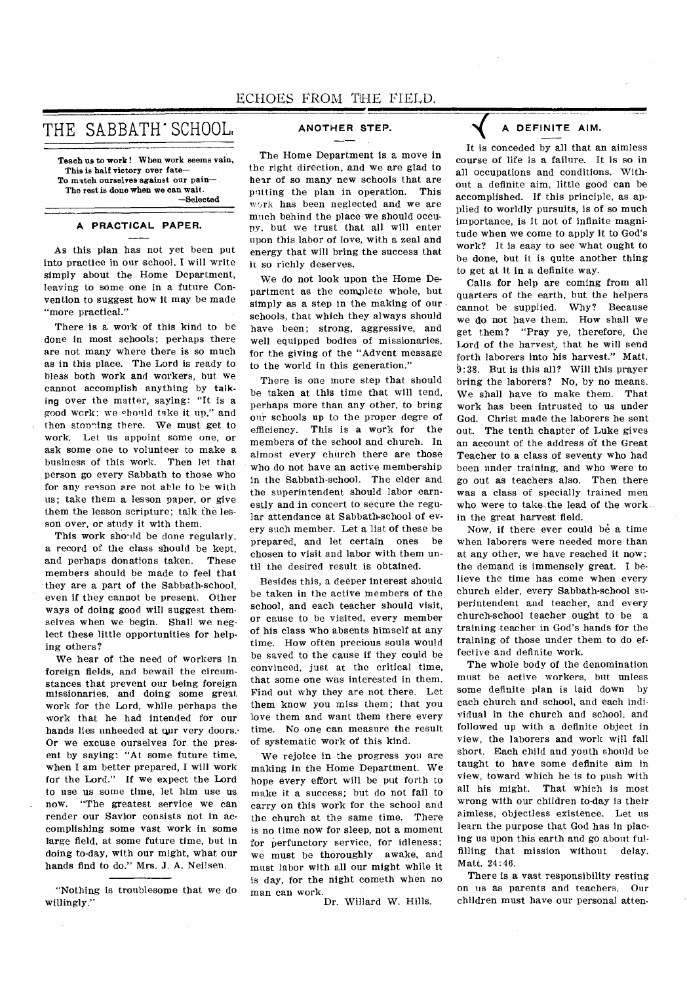THE SABBATH' SCHOOL,

Teach us to work ! When work seems vain, This is half victory over fate-To match ourselves against our pain— The rest is done when we can wait. —Selected

#### **A PRACTICAL PAPER.**

As this plan has not yet been put into practice in our school, I will write simply about the Home Department, leaving to some one in a future Convention to suggest how it may be made "more practical."

There is a work of this kind to be done in most schools; perhaps there are not many where there is so much as in this place. The Lord is ready to bless both work and workers, but we cannot accomplish anything by talking over the matter, saying: "It is a good work: we should take it up," and then stopping there. We must get to work. Let us appoint some one, or ask some one to volunteer to make a business of this work. Then let that person go every Sabbath to those who for any reason are not able to be with us; take them a lesson paper, or give them the lesson scripture; talk the lesson over, or study it with them.

This work should be done regularly, a record of the class should be kept, and perhaps donations taken. These members should be made to feel that they are a part of the Sabbath-school, even if they cannot be present. Other ways of doing good will suggest themselves when we begin. Shall we neglect these little opportunities for helping others?

We hear of the need of workers in foreign fields, and bewail the circumstances that prevent our being foreign missionaries, and doing some great work for the Lord, while perhaps the work that he had intended for our hands lies unheeded at our very doors. Or we excuse ourselves for the present by saying: "At some future time, when I am better prepared, I will work for the Lord." If we expect the Lord to use us some time, let him use us now. "The greatest service we can render our Savior consists not in accomplishing some vast work in some large field, at some future time, but in doing to-day, with our might, what our hands find to do." Mrs. J. A. Neilsen.

"Nothing is troublesome that we do willingly."

## **ANOTHER STEP.**

The Home Department is a move in the right direction, and we are glad to hear of so many new schools that are putting the plan in operation. This work has been neglected and we are much behind the place we should occupy, but we trust that all will enter upon this labor of love, with a zeal and energy that will bring the success that it so richly deserves.

We do not look upon the Home Department as the complete whole, but simply as a step in the making of our schools, that which they always should have been; strong, aggressive, and well equipped bodies of missionaries, for the giving of the "Advent message to the world in this generation."

There is one more step that should be taken at this time that will tend, perhaps more than any other, to bring our schools up to the proper degre of efficiency. This is a work for the members of the school and church. In almost every church there are those who do not have an active membership in the Sabbath-school. The elder and the superintendent should labor earnestly and in concert to secure the regular attendance at Sabbath-school of every such member. Let a list of these be prepared, and let certain ones be chosen to visit and labor with them until the desired result is obtained.

Besides this, a deeper interest should be taken in the active members of the school, and each teacher should visit, or cause to be visited, every member of his class who absents himself at any time. How often precious souls would be saved to the cause if they could be convinced, just at the critical time, that some one was interested in them. Find out why they are not there. Let them know you miss them; that you love them and want them there every time. No one can measure the result of systematic work of this kind.

We rejoice in the progress you are making in the Home Department. We hope every effort will be put forth to make it a success; but do not fail to carry on this work for the school and the church at the same time. There is no time now for sleep, not a moment for perfunctory service, for idleness; we must be thoroughly awake, and must labor with all our might while it is day, for the night cometh when no man can work.

Dr. Willard W. Hills.

## **DEFINITE AIM.**

It is conceded by all that an aimless course of life is a failure. It is so in all occupations and conditions. Without a definite aim, little good can be accomplished. If this principle, as applied to worldly pursuits, is of so much importance, is it not of infinite magnitude when we come to apply it to God's work? It is easy to see what ought to be done, but it is quite another thing to get at it in a definite way.

Calls for help are coming from all quarters of the earth, but the helpers cannot be supplied. Why? Because we do not have them. How shall we get them? "Pray ye, therefore, the Lord of the harvest, that he will send forth laborers into his harvest." Matt. 9:38. But is this all? Will this prayer bring the laborers? No, by no means. We shall have to make them. That work has been intrusted to us under God. Christ made the laborers he sent out. The tenth chapter of Luke gives an account of the address of the Great Teacher to a class of seventy who had been under training, and who were to go out as teachers also. Then there was a class of specially trained men who were to take\_the lead of the work in the great harvest field.

Now, if there ever could be a time when laborers were needed more than at any other, we have reached it now; the demand is immensely great. I believe the time has come when every church elder, every Sabbath-school superintendent and teacher, and every church-school teacher ought to be a training teacher in God's hands for the training of those under them to do effective and definite work.

The whole body of the denomination must be active workers, but unless some definite plan is laid down by each church and school, and each individual in the church and school, and followed up with a definite object in view, the laborers and work will fall short. Each child and youth should be taught to have some definite aim in view, toward which he is to push with all his might. That which is most wrong with our children to-day is their aimless, objectless existence. Let us learn the purpose that God has in placing us upon this earth and go about fulfilling that mission without delay. Matt. 24:46.

There is a vast responsibility resting on us as parents and teachers. Our children must have our personal atten-